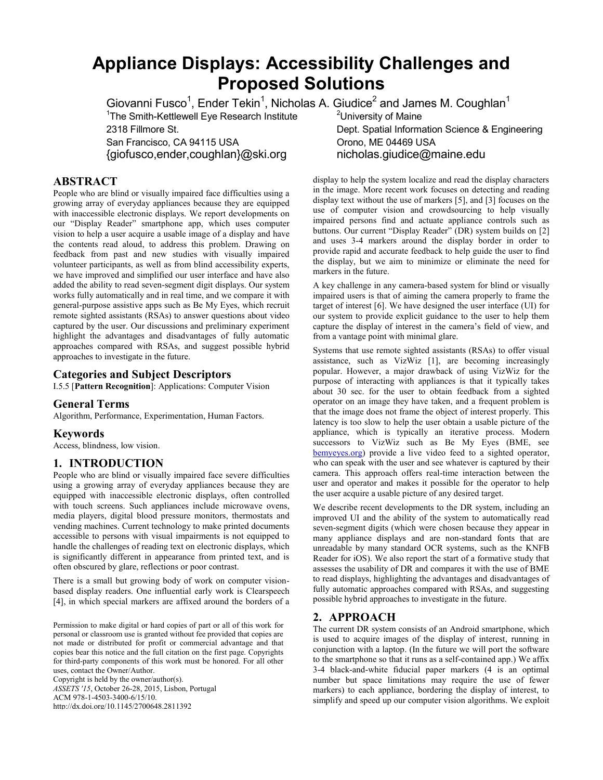# **Appliance Displays: Accessibility Challenges and Proposed Solutions**

Giovanni Fusco<sup>1</sup>, Ender Tekin<sup>1</sup>, Nicholas A. Giudice<sup>2</sup> and James M. Coughlan<sup>1</sup>

<sup>1</sup>The Smith-Kettlewell Eye Research Institute  $2^2$ University of Maine

San Francisco, CA 94115 USA Corono, ME 04469 USA {giofusco,ender,coughlan}@ski.org nicholas.giudice@maine.edu

# **ABSTRACT**

People who are blind or visually impaired face difficulties using a growing array of everyday appliances because they are equipped with inaccessible electronic displays. We report developments on our "Display Reader" smartphone app, which uses computer vision to help a user acquire a usable image of a display and have the contents read aloud, to address this problem. Drawing on feedback from past and new studies with visually impaired volunteer participants, as well as from blind accessibility experts, we have improved and simplified our user interface and have also added the ability to read seven-segment digit displays. Our system works fully automatically and in real time, and we compare it with general-purpose assistive apps such as Be My Eyes, which recruit remote sighted assistants (RSAs) to answer questions about video captured by the user. Our discussions and preliminary experiment highlight the advantages and disadvantages of fully automatic approaches compared with RSAs, and suggest possible hybrid approaches to investigate in the future.

# **Categories and Subject Descriptors**

I.5.5 [**Pattern Recognition**]: Applications: Computer Vision

## **General Terms**

Algorithm, Performance, Experimentation, Human Factors.

### **Keywords**

Access, blindness, low vision.

## **1. INTRODUCTION**

People who are blind or visually impaired face severe difficulties using a growing array of everyday appliances because they are equipped with inaccessible electronic displays, often controlled with touch screens. Such appliances include microwave ovens, media players, digital blood pressure monitors, thermostats and vending machines. Current technology to make printed documents accessible to persons with visual impairments is not equipped to handle the challenges of reading text on electronic displays, which is significantly different in appearance from printed text, and is often obscured by glare, reflections or poor contrast.

There is a small but growing body of work on computer visionbased display readers. One influential early work is Clearspeech [4], in which special markers are affixed around the borders of a

Permission to make digital or hard copies of part or all of this work for personal or classroom use is granted without fee provided that copies are not made or distributed for profit or commercial advantage and that copies bear this notice and the full citation on the first page. Copyrights for third-party components of this work must be honored. For all other uses, contact the Owner/Author.

Copyright is held by the owner/author(s). *ASSETS '15*, October 26-28, 2015, Lisbon, Portugal ACM 978-1-4503-3400-6/15/10.

http://dx.doi.org/10.1145/2700648.2811392

2318 Fillmore St. Dept. Spatial Information Science & Engineering

display to help the system localize and read the display characters in the image. More recent work focuses on detecting and reading display text without the use of markers [5], and [3] focuses on the use of computer vision and crowdsourcing to help visually impaired persons find and actuate appliance controls such as buttons. Our current "Display Reader" (DR) system builds on [2] and uses 3-4 markers around the display border in order to provide rapid and accurate feedback to help guide the user to find the display, but we aim to minimize or eliminate the need for markers in the future.

A key challenge in any camera-based system for blind or visually impaired users is that of aiming the camera properly to frame the target of interest [6]. We have designed the user interface (UI) for our system to provide explicit guidance to the user to help them capture the display of interest in the camera's field of view, and from a vantage point with minimal glare.

Systems that use remote sighted assistants (RSAs) to offer visual assistance, such as VizWiz [1], are becoming increasingly popular. However, a major drawback of using VizWiz for the purpose of interacting with appliances is that it typically takes about 30 sec. for the user to obtain feedback from a sighted operator on an image they have taken, and a frequent problem is that the image does not frame the object of interest properly. This latency is too slow to help the user obtain a usable picture of the appliance, which is typically an iterative process. Modern successors to VizWiz such as Be My Eyes (BME, see [bemyeyes.org\)](bemyeyes.org) provide a live video feed to a sighted operator, who can speak with the user and see whatever is captured by their camera. This approach offers real-time interaction between the user and operator and makes it possible for the operator to help the user acquire a usable picture of any desired target.

We describe recent developments to the DR system, including an improved UI and the ability of the system to automatically read seven-segment digits (which were chosen because they appear in many appliance displays and are non-standard fonts that are unreadable by many standard OCR systems, such as the KNFB Reader for iOS). We also report the start of a formative study that assesses the usability of DR and compares it with the use of BME to read displays, highlighting the advantages and disadvantages of fully automatic approaches compared with RSAs, and suggesting possible hybrid approaches to investigate in the future.

# **2. APPROACH**

The current DR system consists of an Android smartphone, which is used to acquire images of the display of interest, running in conjunction with a laptop. (In the future we will port the software to the smartphone so that it runs as a self-contained app.) We affix 3-4 black-and-white fiducial paper markers (4 is an optimal number but space limitations may require the use of fewer markers) to each appliance, bordering the display of interest, to simplify and speed up our computer vision algorithms. We exploit